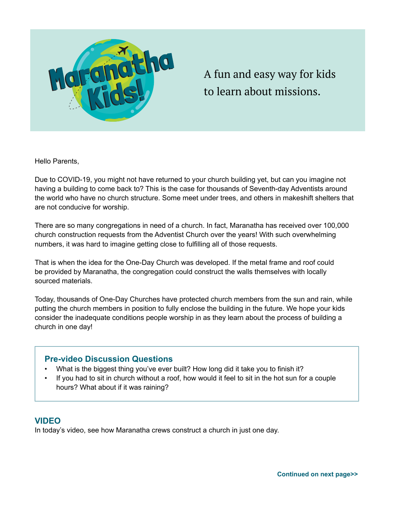

A fun and easy way for kids to learn about missions.

Hello Parents,

Due to COVID-19, you might not have returned to your church building yet, but can you imagine not having a building to come back to? This is the case for thousands of Seventh-day Adventists around the world who have no church structure. Some meet under trees, and others in makeshift shelters that are not conducive for worship.

There are so many congregations in need of a church. In fact, Maranatha has received over 100,000 church construction requests from the Adventist Church over the years! With such overwhelming numbers, it was hard to imagine getting close to fulfilling all of those requests.

That is when the idea for the One-Day Church was developed. If the metal frame and roof could be provided by Maranatha, the congregation could construct the walls themselves with locally sourced materials.

Today, thousands of One-Day Churches have protected church members from the sun and rain, while putting the church members in position to fully enclose the building in the future. We hope your kids consider the inadequate conditions people worship in as they learn about the process of building a church in one day!

# **Pre-video Discussion Questions**

- What is the biggest thing you've ever built? How long did it take you to finish it?
- If you had to sit in church without a roof, how would it feel to sit in the hot sun for a couple hours? What about if it was raining?

# **VIDEO**

In today's video, see how Maranatha crews construct a church in just one day.